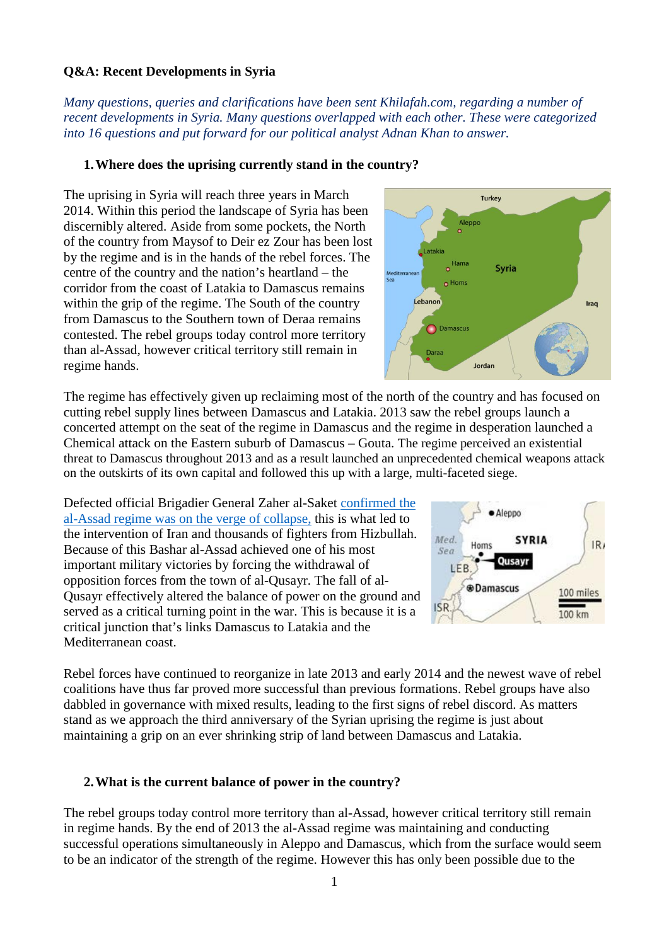#### **Q&A: Recent Developments in Syria**

*Many questions, queries and clarifications have been sent Khilafah.com, regarding a number of recent developments in Syria. Many questions overlapped with each other. These were categorized into 16 questions and put forward for our political analyst Adnan Khan to answer.* 

#### **1.Where does the uprising currently stand in the country?**

The uprising in Syria will reach three years in March 2014. Within this period the landscape of Syria has been discernibly altered. Aside from some pockets, the North of the country from Maysof to Deir ez Zour has been lost by the regime and is in the hands of the rebel forces. The centre of the country and the nation's heartland – the corridor from the coast of Latakia to Damascus remains within the grip of the regime. The South of the country from Damascus to the Southern town of Deraa remains contested. The rebel groups today control more territory than al-Assad, however critical territory still remain in regime hands.

The regime has effectively given up reclaiming most of the north of the country and has focused on cutting rebel supply lines between Damascus and Latakia. 2013 saw the rebel groups launch a concerted attempt on the seat of the regime in Damascus and the regime in desperation launched a Chemical attack on the Eastern suburb of Damascus – Gouta. The regime perceived an existential threat to Damascus throughout 2013 and as a result launched an unprecedented chemical weapons attack on the outskirts of its own capital and followed this up with a large, multi-faceted siege.

Defected official Brigadier General Zaher al-Saket [confirmed the](http://syriadirect.org/main/36-interviews/905-regime-was-on-the-verge-of-collapse-earlier-this-year-says-defected-officer)  [al-Assad regime was on the verge of collapse,](http://syriadirect.org/main/36-interviews/905-regime-was-on-the-verge-of-collapse-earlier-this-year-says-defected-officer) this is what led to the intervention of Iran and thousands of fighters from Hizbullah. Because of this Bashar al-Assad achieved one of his most important military victories by forcing the withdrawal of opposition forces from the town of al-Qusayr. The fall of al-Qusayr effectively altered the balance of power on the ground and served as a critical turning point in the war. This is because it is a critical junction that's links Damascus to Latakia and the Mediterranean coast.

Rebel forces have continued to reorganize in late 2013 and early 2014 and the newest wave of rebel coalitions have thus far proved more successful than previous formations. Rebel groups have also dabbled in governance with mixed results, leading to the first signs of rebel discord. As matters stand as we approach the third anniversary of the Syrian uprising the regime is just about maintaining a grip on an ever shrinking strip of land between Damascus and Latakia.

### **2.What is the current balance of power in the country?**

The rebel groups today control more territory than al-Assad, however critical territory still remain in regime hands. By the end of 2013 the al-Assad regime was maintaining and conducting successful operations simultaneously in Aleppo and Damascus, which from the surface would seem to be an indicator of the strength of the regime. However this has only been possible due to the



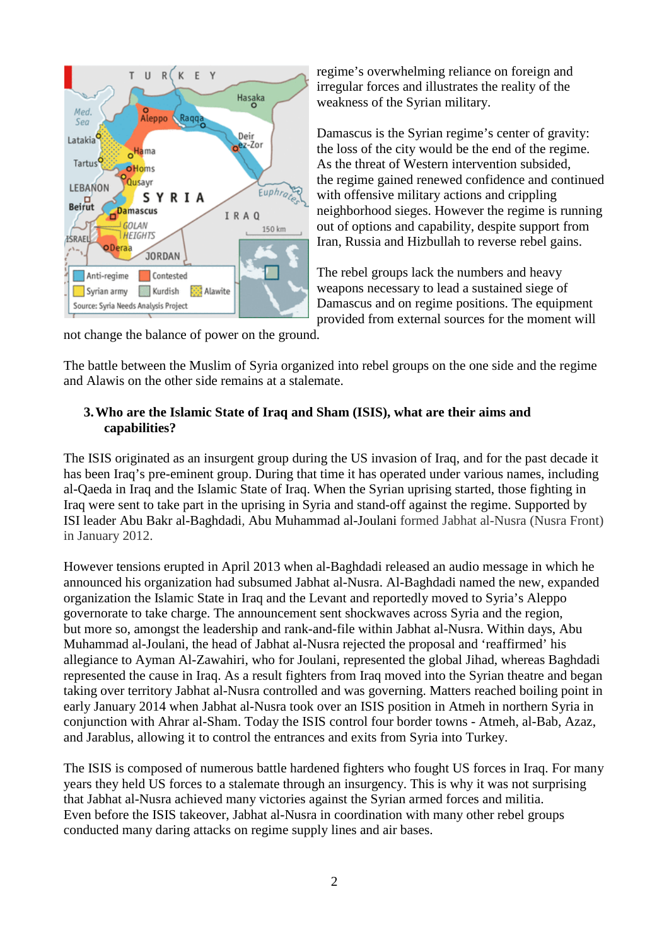

regime's overwhelming reliance on foreign and irregular forces and illustrates the reality of the weakness of the Syrian military.

Damascus is the Syrian regime's center of gravity: the loss of the city would be the end of the regime. As the threat of Western intervention subsided, the regime gained renewed confidence and continued with offensive military actions and crippling neighborhood sieges. However the regime is running out of options and capability, despite support from Iran, Russia and Hizbullah to reverse rebel gains.

The rebel groups lack the numbers and heavy weapons necessary to lead a sustained siege of Damascus and on regime positions. The equipment provided from external sources for the moment will

not change the balance of power on the ground.

The battle between the Muslim of Syria organized into rebel groups on the one side and the regime and Alawis on the other side remains at a stalemate.

#### **3.Who are the Islamic State of Iraq and Sham (ISIS), what are their aims and capabilities?**

The ISIS originated as an insurgent group during the US invasion of Iraq, and for the past decade it has been Iraq's pre-eminent group. During that time it has operated under various names, including al-Qaeda in Iraq and the Islamic State of Iraq. When the Syrian uprising started, those fighting in Iraq were sent to take part in the uprising in Syria and stand-off against the regime. Supported by ISI leader Abu Bakr al-Baghdadi*,* Abu Muhammad al-Joulani formed Jabhat al-Nusra (Nusra Front) in January 2012.

However tensions erupted in April 2013 when al-Baghdadi released an audio message in which he announced his organization had subsumed Jabhat al-Nusra. Al-Baghdadi named the new, expanded organization the Islamic State in Iraq and the Levant and reportedly moved to Syria's Aleppo governorate to take charge. The announcement sent shockwaves across Syria and the region, but more so, amongst the leadership and rank-and-file within Jabhat al-Nusra. Within days, Abu Muhammad al-Joulani, the head of Jabhat al-Nusra rejected the proposal and 'reaffirmed' his allegiance to Ayman Al-Zawahiri, who for Joulani, represented the global Jihad, whereas Baghdadi represented the cause in Iraq. As a result fighters from Iraq moved into the Syrian theatre and began taking over territory Jabhat al-Nusra controlled and was governing. Matters reached boiling point in early January 2014 when Jabhat al-Nusra took over an ISIS position in Atmeh in northern Syria in conjunction with Ahrar al-Sham. Today the ISIS control four border towns - Atmeh, al-Bab, Azaz, and Jarablus, allowing it to control the entrances and exits from Syria into Turkey.

The ISIS is composed of numerous battle hardened fighters who fought US forces in Iraq. For many years they held US forces to a stalemate through an insurgency. This is why it was not surprising that Jabhat al-Nusra achieved many victories against the Syrian armed forces and militia. Even before the ISIS takeover, Jabhat al-Nusra in coordination with many other rebel groups conducted many daring attacks on regime supply lines and air bases.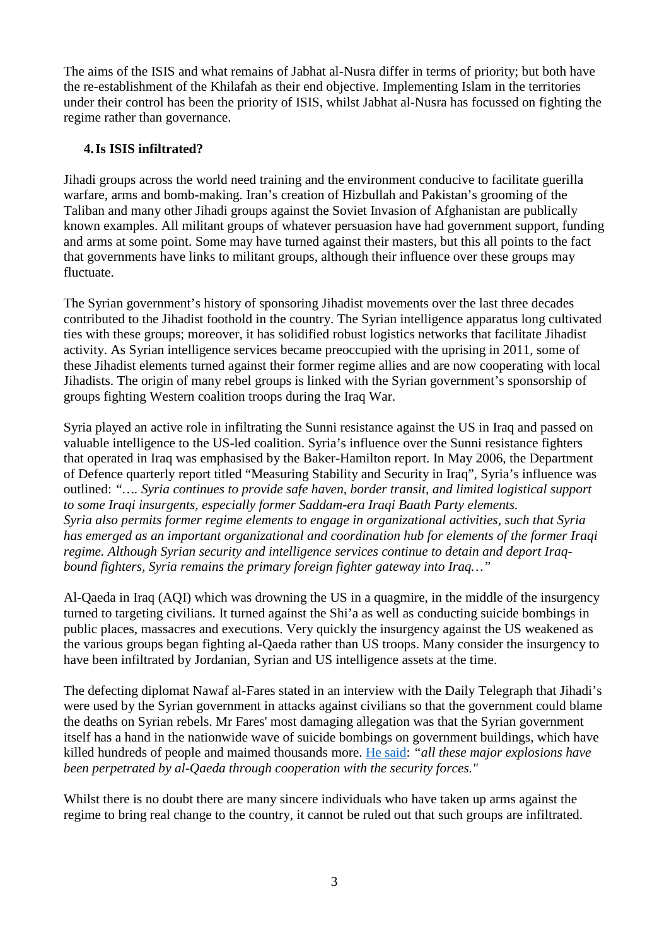The aims of the ISIS and what remains of Jabhat al-Nusra differ in terms of priority; but both have the re-establishment of the Khilafah as their end objective. Implementing Islam in the territories under their control has been the priority of ISIS, whilst Jabhat al-Nusra has focussed on fighting the regime rather than governance.

### **4.Is ISIS infiltrated?**

Jihadi groups across the world need training and the environment conducive to facilitate guerilla warfare, arms and bomb-making. Iran's creation of Hizbullah and Pakistan's grooming of the Taliban and many other Jihadi groups against the Soviet Invasion of Afghanistan are publically known examples. All militant groups of whatever persuasion have had government support, funding and arms at some point. Some may have turned against their masters, but this all points to the fact that governments have links to militant groups, although their influence over these groups may fluctuate.

The Syrian government's history of sponsoring Jihadist movements over the last three decades contributed to the Jihadist foothold in the country. The Syrian intelligence apparatus long cultivated ties with these groups; moreover, it has solidified robust logistics networks that facilitate Jihadist activity. As Syrian intelligence services became preoccupied with the uprising in 2011, some of these Jihadist elements turned against their former regime allies and are now cooperating with local Jihadists. The origin of many rebel groups is linked with the Syrian government's sponsorship of groups fighting Western coalition troops during the Iraq War.

Syria played an active role in infiltrating the Sunni resistance against the US in Iraq and passed on valuable intelligence to the US-led coalition. Syria's influence over the Sunni resistance fighters that operated in Iraq was emphasised by the Baker-Hamilton report. In May 2006, the Department of Defence quarterly report titled "Measuring Stability and Security in Iraq", Syria's influence was outlined: *"…. Syria continues to provide safe haven, border transit, and limited logistical support to some Iraqi insurgents, especially former Saddam-era Iraqi Baath Party elements. Syria also permits former regime elements to engage in organizational activities, such that Syria has emerged as an important organizational and coordination hub for elements of the former Iraqi regime. Although Syrian security and intelligence services continue to detain and deport Iraqbound fighters, Syria remains the primary foreign fighter gateway into Iraq…"* 

Al-Qaeda in Iraq (AQI) which was drowning the US in a quagmire, in the middle of the insurgency turned to targeting civilians. It turned against the Shi'a as well as conducting suicide bombings in public places, massacres and executions. Very quickly the insurgency against the US weakened as the various groups began fighting al-Qaeda rather than US troops. Many consider the insurgency to have been infiltrated by Jordanian, Syrian and US intelligence assets at the time.

The defecting diplomat Nawaf al-Fares stated in an interview with the Daily Telegraph that Jihadi's were used by the Syrian government in attacks against civilians so that the government could blame the deaths on Syrian rebels. Mr Fares' most damaging allegation was that the Syrian government itself has a hand in the nationwide wave of suicide bombings on government buildings, which have killed hundreds of people and maimed thousands more. [He said:](http://www.telegraph.co.uk/news/worldnews/middleeast/syria/9400537/Exclusive-interview-why-I-defected-from-Bashar-al-Assads-regime-by-former-diplomat-Nawaf-Fares.html) *"all these major explosions have been perpetrated by al-Qaeda through cooperation with the security forces."*

Whilst there is no doubt there are many sincere individuals who have taken up arms against the regime to bring real change to the country, it cannot be ruled out that such groups are infiltrated.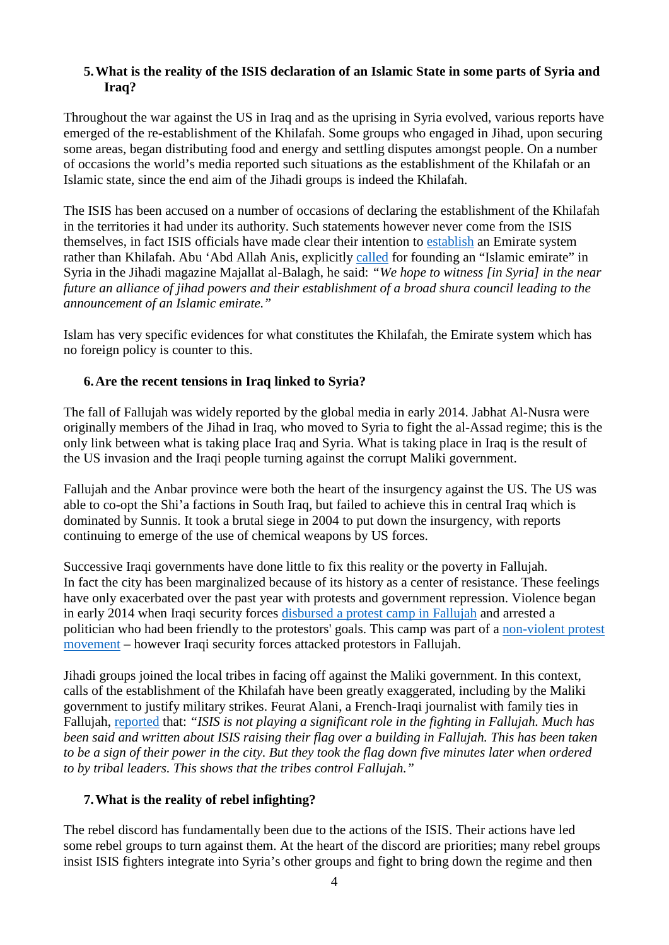### **5.What is the reality of the ISIS declaration of an Islamic State in some parts of Syria and Iraq?**

Throughout the war against the US in Iraq and as the uprising in Syria evolved, various reports have emerged of the re-establishment of the Khilafah. Some groups who engaged in Jihad, upon securing some areas, began distributing food and energy and settling disputes amongst people. On a number of occasions the world's media reported such situations as the establishment of the Khilafah or an Islamic state, since the end aim of the Jihadi groups is indeed the Khilafah.

The ISIS has been accused on a number of occasions of declaring the establishment of the Khilafah in the territories it had under its authority. Such statements however never come from the ISIS themselves, in fact ISIS officials have made clear their intention to [establish](http://www.jihadica.com/caliphate-now-jihadis-debate-the-islamic-state/) an Emirate system rather than Khilafah. Abu 'Abd Allah Anis, explicitly [called](http://www.jihadica.com/wp-content/uploads/2013/04/majallat-al-balagh-2-links.pdf) for founding an "Islamic emirate" in Syria in the Jihadi magazine Majallat al-Balagh, he said: *"We hope to witness [in Syria] in the near future an alliance of jihad powers and their establishment of a broad shura council leading to the announcement of an Islamic emirate."*

Islam has very specific evidences for what constitutes the Khilafah, the Emirate system which has no foreign policy is counter to this.

### **6.Are the recent tensions in Iraq linked to Syria?**

The fall of Fallujah was widely reported by the global media in early 2014. Jabhat Al-Nusra were originally members of the Jihad in Iraq, who moved to Syria to fight the al-Assad regime; this is the only link between what is taking place Iraq and Syria. What is taking place in Iraq is the result of the US invasion and the Iraqi people turning against the corrupt Maliki government.

Fallujah and the Anbar province were both the heart of the insurgency against the US. The US was able to co-opt the Shi'a factions in South Iraq, but failed to achieve this in central Iraq which is dominated by Sunnis. It took a brutal siege in 2004 to put down the insurgency, with reports continuing to emerge of the use of chemical weapons by US forces.

Successive Iraqi governments have done little to fix this reality or the poverty in Fallujah. In fact the city has been marginalized because of its history as a center of resistance. These feelings have only exacerbated over the past year with protests and government repression. Violence began in early 2014 when Iraqi security forces [disbursed a protest camp in Fallujah](http://news.yahoo.com/deadly-clashes-iraq-forces-dismantle-protest-111022315.html) and arrested a politician who had been friendly to the protestors' goals. This camp was part of a [non-violent protest](http://www.theguardian.com/commentisfree/2013/jan/17/iraq-protest-defy-maliki-regime)  [movement](http://www.theguardian.com/commentisfree/2013/jan/17/iraq-protest-defy-maliki-regime) – however Iraqi security forces attacked protestors in Fallujah.

Jihadi groups joined the local tribes in facing off against the Maliki government. In this context, calls of the establishment of the Khilafah have been greatly exaggerated, including by the Maliki government to justify military strikes. Feurat Alani, a French-Iraqi journalist with family ties in Fallujah, [reported](http://www.democracynow.org/2014/1/9/as_us_rushes_weapons_to_iraq) that: *"ISIS is not playing a significant role in the fighting in Fallujah. Much has been said and written about ISIS raising their flag over a building in Fallujah. This has been taken to be a sign of their power in the city. But they took the flag down five minutes later when ordered to by tribal leaders. This shows that the tribes control Fallujah."*

## **7.What is the reality of rebel infighting?**

The rebel discord has fundamentally been due to the actions of the ISIS. Their actions have led some rebel groups to turn against them. At the heart of the discord are priorities; many rebel groups insist ISIS fighters integrate into Syria's other groups and fight to bring down the regime and then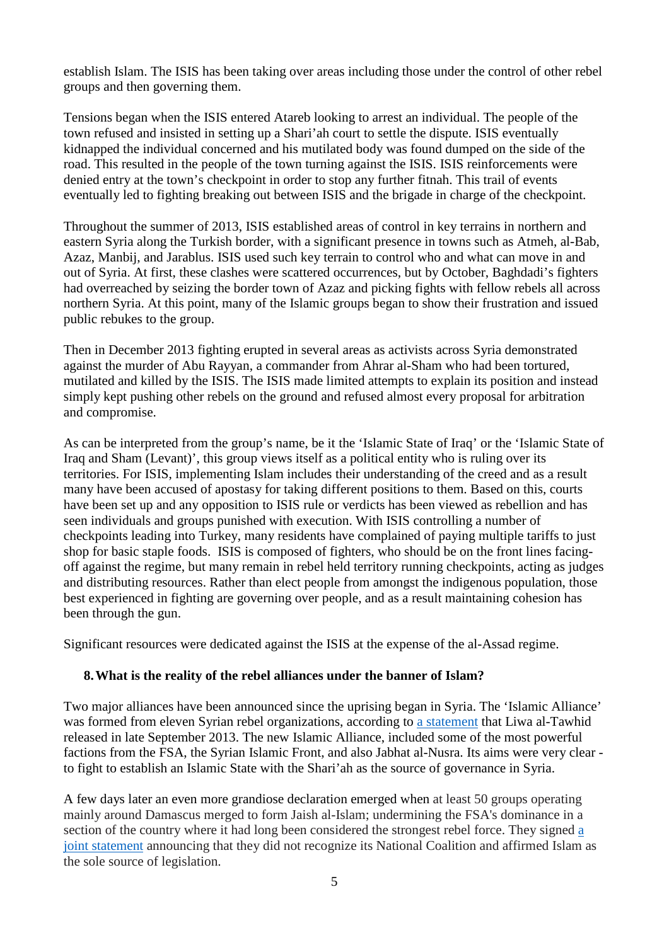establish Islam. The ISIS has been taking over areas including those under the control of other rebel groups and then governing them.

Tensions began when the ISIS entered Atareb looking to arrest an individual. The people of the town refused and insisted in setting up a Shari'ah court to settle the dispute. ISIS eventually kidnapped the individual concerned and his mutilated body was found dumped on the side of the road. This resulted in the people of the town turning against the ISIS. ISIS reinforcements were denied entry at the town's checkpoint in order to stop any further fitnah. This trail of events eventually led to fighting breaking out between ISIS and the brigade in charge of the checkpoint.

Throughout the summer of 2013, ISIS established areas of control in key terrains in northern and eastern Syria along the Turkish border, with a significant presence in towns such as Atmeh, al-Bab, Azaz, Manbij, and Jarablus. ISIS used such key terrain to control who and what can move in and out of Syria. At first, these clashes were scattered occurrences, but by October, Baghdadi's fighters had overreached by seizing the border town of Azaz and picking fights with fellow rebels all across northern Syria. At this point, many of the Islamic groups began to show their frustration and issued public rebukes to the group.

Then in December 2013 fighting erupted in several areas as activists across Syria demonstrated against the murder of Abu Rayyan, a commander from Ahrar al-Sham who had been tortured, mutilated and killed by the ISIS. The ISIS made limited attempts to explain its position and instead simply kept pushing other rebels on the ground and refused almost every proposal for arbitration and compromise.

As can be interpreted from the group's name, be it the 'Islamic State of Iraq' or the 'Islamic State of Iraq and Sham (Levant)', this group views itself as a political entity who is ruling over its territories. For ISIS, implementing Islam includes their understanding of the creed and as a result many have been accused of apostasy for taking different positions to them. Based on this, courts have been set up and any opposition to ISIS rule or verdicts has been viewed as rebellion and has seen individuals and groups punished with execution. With ISIS controlling a number of checkpoints leading into Turkey, many residents have complained of paying multiple tariffs to just shop for basic staple foods. ISIS is composed of fighters, who should be on the front lines facingoff against the regime, but many remain in rebel held territory running checkpoints, acting as judges and distributing resources. Rather than elect people from amongst the indigenous population, those best experienced in fighting are governing over people, and as a result maintaining cohesion has been through the gun.

Significant resources were dedicated against the ISIS at the expense of the al-Assad regime.

### **8.What is the reality of the rebel alliances under the banner of Islam?**

Two major alliances have been announced since the uprising began in Syria. The 'Islamic Alliance' was formed from eleven Syrian rebel organizations, according to [a statement](http://leuaaltawheed.com/%D8%A7%D9%84%D8%A8%D9%8A%D8%A7%D9%86-%D8%B1%D9%82%D9%85-1-%D8%AD%D9%88%D9%84-%D8%A7%D9%84%D8%A7%D8%A6%D8%AA%D9%84%D8%A7%D9%81-%D9%88-%D8%A7%D9%84%D8%AD%D9%83%D9%88%D9%85%D8%A9-%D8%A7%D9%84/) that Liwa al-Tawhid released in late September 2013. The new Islamic Alliance, included some of the most powerful factions from the FSA, the Syrian Islamic Front, and also Jabhat al-Nusra. Its aims were very clear to fight to establish an Islamic State with the Shari'ah as the source of governance in Syria.

A few days later an even more grandiose declaration emerged when at least 50 groups operating mainly around Damascus merged to form Jaish al-Islam; undermining the FSA's dominance in a section of the country where it had long been considered the strongest rebel force. They signed [a](http://www.joshualandis.com/blog/major-rebel-factions-drop-exiles-go-full-islamist)  [joint statement](http://www.joshualandis.com/blog/major-rebel-factions-drop-exiles-go-full-islamist) announcing that they did not recognize its National Coalition and affirmed Islam as the sole source of legislation.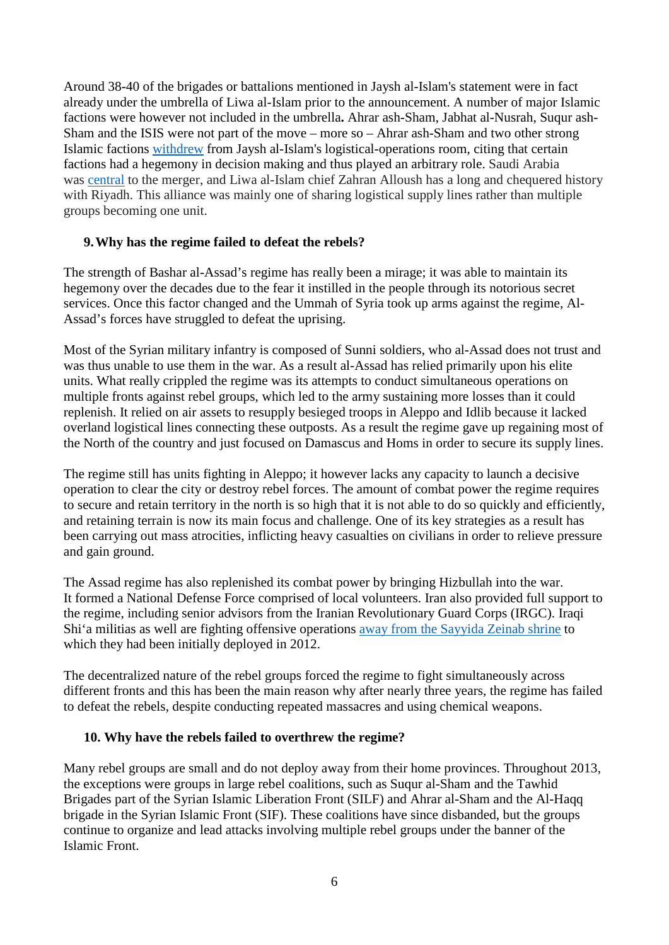Around 38-40 of the brigades or battalions mentioned in Jaysh al-Islam's statement were in fact already under the umbrella of Liwa al-Islam prior to the announcement. A number of major Islamic factions were however not included in the umbrella**.** Ahrar ash-Sham, Jabhat al-Nusrah, Suqur ash-Sham and the ISIS were not part of the move – more so – Ahrar ash-Sham and two other strong Islamic factions [withdrew](http://www.ahraralsham.com/?p=2857) from Jaysh al-Islam's logistical-operations room, citing that certain factions had a hegemony in decision making and thus played an arbitrary role. Saudi Arabia was [central](http://www.trust.org/item/20131001143727-5erqr/?source=shtw) to the merger, and Liwa al-Islam chief Zahran Alloush has a long and chequered history with Riyadh. This alliance was mainly one of sharing logistical supply lines rather than multiple groups becoming one unit.

### **9.Why has the regime failed to defeat the rebels?**

The strength of Bashar al-Assad's regime has really been a mirage; it was able to maintain its hegemony over the decades due to the fear it instilled in the people through its notorious secret services. Once this factor changed and the Ummah of Syria took up arms against the regime, Al-Assad's forces have struggled to defeat the uprising.

Most of the Syrian military infantry is composed of Sunni soldiers, who al-Assad does not trust and was thus unable to use them in the war. As a result al-Assad has relied primarily upon his elite units. What really crippled the regime was its attempts to conduct simultaneous operations on multiple fronts against rebel groups, which led to the army sustaining more losses than it could replenish. It relied on air assets to resupply besieged troops in Aleppo and Idlib because it lacked overland logistical lines connecting these outposts. As a result the regime gave up regaining most of the North of the country and just focused on Damascus and Homs in order to secure its supply lines.

The regime still has units fighting in Aleppo; it however lacks any capacity to launch a decisive operation to clear the city or destroy rebel forces. The amount of combat power the regime requires to secure and retain territory in the north is so high that it is not able to do so quickly and efficiently, and retaining terrain is now its main focus and challenge. One of its key strategies as a result has been carrying out mass atrocities, inflicting heavy casualties on civilians in order to relieve pressure and gain ground.

The Assad regime has also replenished its combat power by bringing Hizbullah into the war. It formed a National Defense Force comprised of local volunteers. Iran also provided full support to the regime, including senior advisors from the Iranian Revolutionary Guard Corps (IRGC). Iraqi Shi'a militias as well are fighting offensive operations [away from the Sayyida Zeinab shrine](http://jihadology.net/2013/07/20/hizballah-cavalcadeliwaa-ammar-ibn-yasir-a-new-shia-militia-operating-in-alepposyria) to which they had been initially deployed in 2012.

The decentralized nature of the rebel groups forced the regime to fight simultaneously across different fronts and this has been the main reason why after nearly three years, the regime has failed to defeat the rebels, despite conducting repeated massacres and using chemical weapons.

#### **10. Why have the rebels failed to overthrew the regime?**

Many rebel groups are small and do not deploy away from their home provinces. Throughout 2013, the exceptions were groups in large rebel coalitions, such as Suqur al-Sham and the Tawhid Brigades part of the Syrian Islamic Liberation Front (SILF) and Ahrar al-Sham and the Al-Haqq brigade in the Syrian Islamic Front (SIF). These coalitions have since disbanded, but the groups continue to organize and lead attacks involving multiple rebel groups under the banner of the Islamic Front.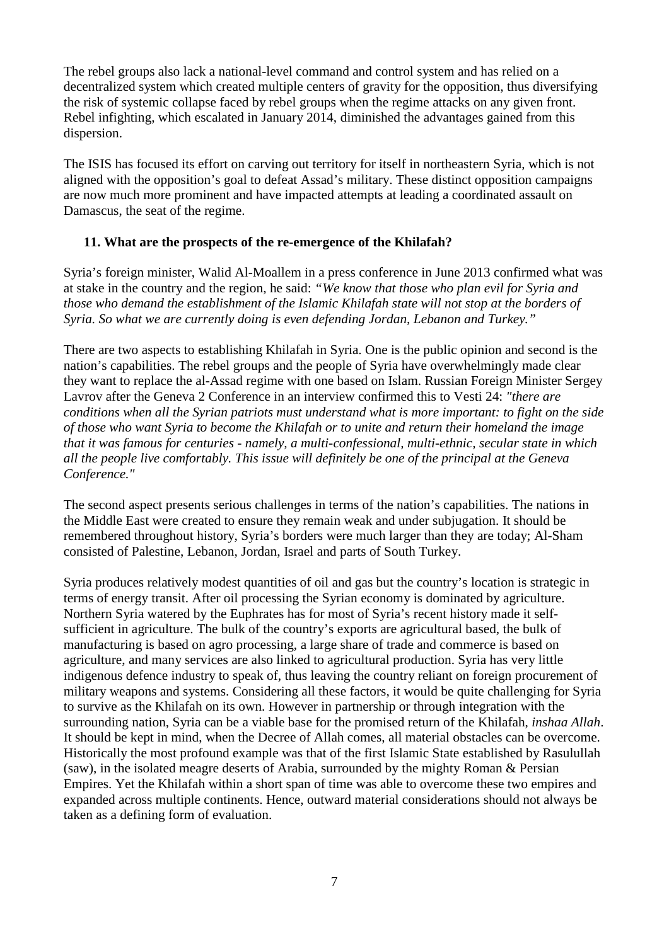The rebel groups also lack a national-level command and control system and has relied on a decentralized system which created multiple centers of gravity for the opposition, thus diversifying the risk of systemic collapse faced by rebel groups when the regime attacks on any given front. Rebel infighting, which escalated in January 2014, diminished the advantages gained from this dispersion.

The ISIS has focused its effort on carving out territory for itself in northeastern Syria, which is not aligned with the opposition's goal to defeat Assad's military. These distinct opposition campaigns are now much more prominent and have impacted attempts at leading a coordinated assault on Damascus, the seat of the regime.

### **11. What are the prospects of the re-emergence of the Khilafah?**

Syria's foreign minister, Walid Al-Moallem in a press conference in June 2013 confirmed what was at stake in the country and the region, he said: *"We know that those who plan evil for Syria and those who demand the establishment of the Islamic Khilafah state will not stop at the borders of Syria. So what we are currently doing is even defending Jordan, Lebanon and Turkey."*

There are two aspects to establishing Khilafah in Syria. One is the public opinion and second is the nation's capabilities. The rebel groups and the people of Syria have overwhelmingly made clear they want to replace the al-Assad regime with one based on Islam. Russian Foreign Minister Sergey Lavrov after the Geneva 2 Conference in an interview confirmed this to Vesti 24: *"there are conditions when all the Syrian patriots must understand what is more important: to fight on the side of those who want Syria to become the Khilafah or to unite and return their homeland the image that it was famous for centuries - namely, a multi-confessional, multi-ethnic, secular state in which all the people live comfortably. This issue will definitely be one of the principal at the Geneva Conference."*

The second aspect presents serious challenges in terms of the nation's capabilities. The nations in the Middle East were created to ensure they remain weak and under subjugation. It should be remembered throughout history, Syria's borders were much larger than they are today; Al-Sham consisted of Palestine, Lebanon, Jordan, Israel and parts of South Turkey.

Syria produces relatively modest quantities of oil and gas but the country's location is strategic in terms of energy transit. After oil processing the Syrian economy is dominated by agriculture. Northern Syria watered by the Euphrates has for most of Syria's recent history made it selfsufficient in agriculture. The bulk of the country's exports are agricultural based, the bulk of manufacturing is based on agro processing, a large share of trade and commerce is based on agriculture, and many services are also linked to agricultural production. Syria has very little indigenous defence industry to speak of, thus leaving the country reliant on foreign procurement of military weapons and systems. Considering all these factors, it would be quite challenging for Syria to survive as the Khilafah on its own. However in partnership or through integration with the surrounding nation, Syria can be a viable base for the promised return of the Khilafah, *inshaa Allah*. It should be kept in mind, when the Decree of Allah comes, all material obstacles can be overcome. Historically the most profound example was that of the first Islamic State established by Rasulullah (saw), in the isolated meagre deserts of Arabia, surrounded by the mighty Roman & Persian Empires. Yet the Khilafah within a short span of time was able to overcome these two empires and expanded across multiple continents. Hence, outward material considerations should not always be taken as a defining form of evaluation.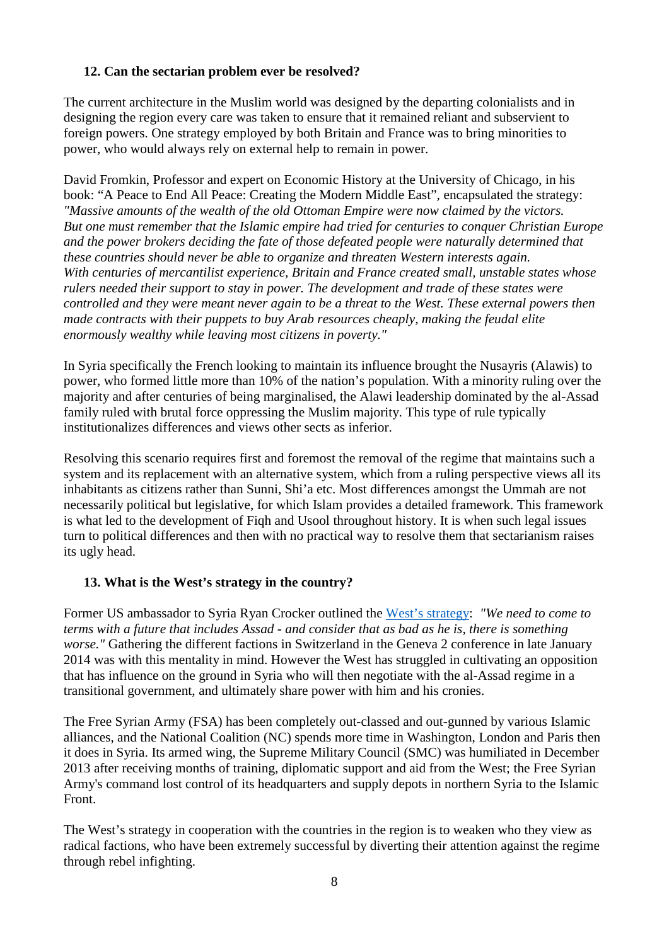## **12. Can the sectarian problem ever be resolved?**

The current architecture in the Muslim world was designed by the departing colonialists and in designing the region every care was taken to ensure that it remained reliant and subservient to foreign powers. One strategy employed by both Britain and France was to bring minorities to power, who would always rely on external help to remain in power.

David Fromkin, Professor and expert on Economic History at the University of Chicago, in his book: "A Peace to End All Peace: Creating the Modern Middle East"*,* encapsulated the strategy: *"Massive amounts of the wealth of the old Ottoman Empire were now claimed by the victors. But one must remember that the Islamic empire had tried for centuries to conquer Christian Europe and the power brokers deciding the fate of those defeated people were naturally determined that these countries should never be able to organize and threaten Western interests again. With centuries of mercantilist experience, Britain and France created small, unstable states whose rulers needed their support to stay in power. The development and trade of these states were controlled and they were meant never again to be a threat to the West. These external powers then made contracts with their puppets to buy Arab resources cheaply, making the feudal elite enormously wealthy while leaving most citizens in poverty."*

In Syria specifically the French looking to maintain its influence brought the Nusayris (Alawis) to power, who formed little more than 10% of the nation's population. With a minority ruling over the majority and after centuries of being marginalised, the Alawi leadership dominated by the al-Assad family ruled with brutal force oppressing the Muslim majority. This type of rule typically institutionalizes differences and views other sects as inferior.

Resolving this scenario requires first and foremost the removal of the regime that maintains such a system and its replacement with an alternative system, which from a ruling perspective views all its inhabitants as citizens rather than Sunni, Shi'a etc. Most differences amongst the Ummah are not necessarily political but legislative, for which Islam provides a detailed framework. This framework is what led to the development of Fiqh and Usool throughout history. It is when such legal issues turn to political differences and then with no practical way to resolve them that sectarianism raises its ugly head.

### **13. What is the West's strategy in the country?**

Former US ambassador to Syria Ryan Crocker outlined the [West's strategy:](http://www.middle-east-online.com/english/?id=61768) *"We need to come to terms with a future that includes Assad - and consider that as bad as he is, there is something worse.*" Gathering the different factions in Switzerland in the Geneva 2 conference in late January 2014 was with this mentality in mind. However the West has struggled in cultivating an opposition that has influence on the ground in Syria who will then negotiate with the al-Assad regime in a transitional government, and ultimately share power with him and his cronies.

The Free Syrian Army (FSA) has been completely out-classed and out-gunned by various Islamic alliances, and the National Coalition (NC) spends more time in Washington, London and Paris then it does in Syria. Its armed wing, the Supreme Military Council (SMC) was humiliated in December 2013 after receiving months of training, diplomatic support and aid from the West; the Free Syrian Army's command lost control of its headquarters and supply depots in northern Syria to the Islamic Front.

The West's strategy in cooperation with the countries in the region is to weaken who they view as radical factions, who have been extremely successful by diverting their attention against the regime through rebel infighting.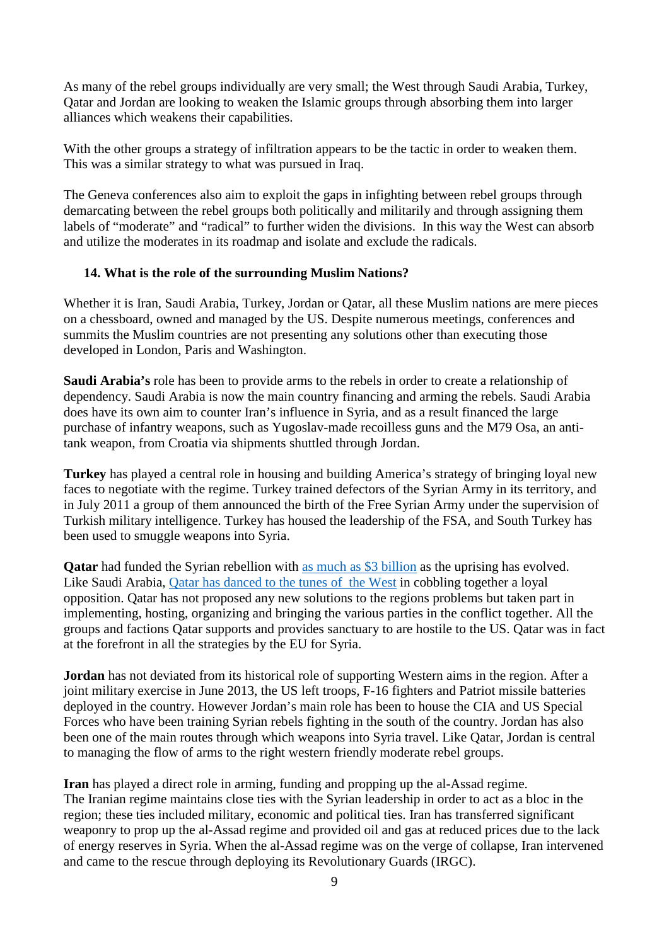As many of the rebel groups individually are very small; the West through Saudi Arabia, Turkey, Qatar and Jordan are looking to weaken the Islamic groups through absorbing them into larger alliances which weakens their capabilities.

With the other groups a strategy of infiltration appears to be the tactic in order to weaken them. This was a similar strategy to what was pursued in Iraq.

The Geneva conferences also aim to exploit the gaps in infighting between rebel groups through demarcating between the rebel groups both politically and militarily and through assigning them labels of "moderate" and "radical" to further widen the divisions. In this way the West can absorb and utilize the moderates in its roadmap and isolate and exclude the radicals.

### **14. What is the role of the surrounding Muslim Nations?**

Whether it is Iran, Saudi Arabia, Turkey, Jordan or Qatar, all these Muslim nations are mere pieces on a chessboard, owned and managed by the US. Despite numerous meetings, conferences and summits the Muslim countries are not presenting any solutions other than executing those developed in London, Paris and Washington.

**Saudi Arabia's** role has been to provide arms to the rebels in order to create a relationship of dependency. Saudi Arabia is now the main country financing and arming the rebels. Saudi Arabia does have its own aim to counter Iran's influence in Syria, and as a result financed the large purchase of infantry weapons, such as Yugoslav-made recoilless guns and the M79 Osa, an antitank weapon, from Croatia via shipments shuttled through Jordan.

**Turkey** has played a central role in housing and building America's strategy of bringing loyal new faces to negotiate with the regime. Turkey trained defectors of the Syrian Army in its territory, and in July 2011 a group of them announced the birth of the Free Syrian Army under the supervision of Turkish military intelligence. Turkey has housed the leadership of the FSA, and South Turkey has been used to smuggle weapons into Syria.

**Qatar** had funded the Syrian rebellion with [as much as \\$3 billion](http://www.ft.com/cms/s/0/86e3f28e-be3a-11e2-bb35-00144feab7de.html) as the uprising has evolved. Like Saudi Arabia, [Qatar has danced to the tunes of the West](http://www.revolutionobserver.com/2012/11/the-qatar-deception.html?q=syria) in cobbling together a loyal opposition. Qatar has not proposed any new solutions to the regions problems but taken part in implementing, hosting, organizing and bringing the various parties in the conflict together. All the groups and factions Qatar supports and provides sanctuary to are hostile to the US. Qatar was in fact at the forefront in all the strategies by the EU for Syria.

**Jordan** has not deviated from its historical role of supporting Western aims in the region. After a joint military exercise in June 2013, the US left troops, F-16 fighters and Patriot missile batteries deployed in the country. However Jordan's main role has been to house the CIA and US Special Forces who have been training Syrian rebels fighting in the south of the country. Jordan has also been one of the main routes through which weapons into Syria travel. Like Qatar, Jordan is central to managing the flow of arms to the right western friendly moderate rebel groups.

**Iran** has played a direct role in arming, funding and propping up the al-Assad regime. The Iranian regime maintains close ties with the Syrian leadership in order to act as a bloc in the region; these ties included military, economic and political ties. Iran has transferred significant weaponry to prop up the al-Assad regime and provided oil and gas at reduced prices due to the lack of energy reserves in Syria. When the al-Assad regime was on the verge of collapse, Iran intervened and came to the rescue through deploying its Revolutionary Guards (IRGC).